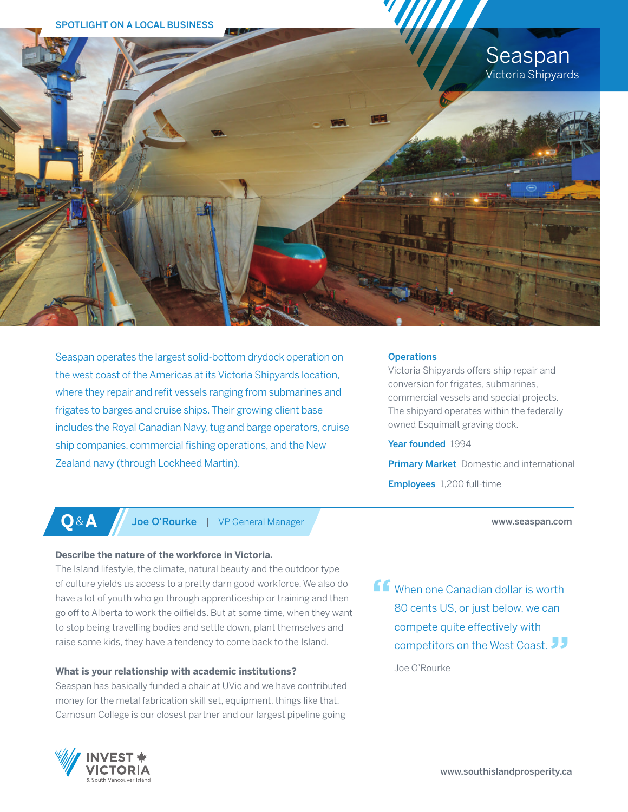

Seaspan operates the largest solid-bottom drydock operation on the west coast of the Americas at its Victoria Shipyards location, where they repair and refit vessels ranging from submarines and frigates to barges and cruise ships. Their growing client base includes the Royal Canadian Navy, tug and barge operators, cruise ship companies, commercial fishing operations, and the New Zealand navy (through Lockheed Martin).

## **Operations**

Victoria Shipyards offers ship repair and conversion for frigates, submarines, commercial vessels and special projects. The shipyard operates within the federally owned Esquimalt graving dock.

### Year founded 1994

**Primary Market** Domestic and international Employees 1,200 full-time

#### www.seaspan.com

**Q**&**A** Joe O'Rourke | VP General Manager

## **Describe the nature of the workforce in Victoria.**

The Island lifestyle, the climate, natural beauty and the outdoor type of culture yields us access to a pretty darn good workforce. We also do have a lot of youth who go through apprenticeship or training and then go off to Alberta to work the oilfields. But at some time, when they want to stop being travelling bodies and settle down, plant themselves and raise some kids, they have a tendency to come back to the Island.

# **What is your relationship with academic institutions?**

Seaspan has basically funded a chair at UVic and we have contributed money for the metal fabrication skill set, equipment, things like that. Camosun College is our closest partner and our largest pipeline going

**ff** When one Canadian dollar is worth 80 cents US, or just below, we can compete quite effectively with competitors on the West Coast.

Joe O'Rourke